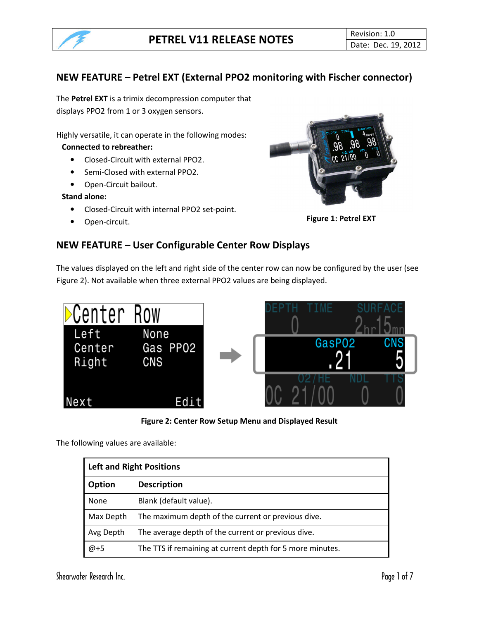

# NEW FEATURE – Petrel EXT (External PPO2 monitoring with Fischer connector)

The Petrel EXT is a trimix decompression computer that displays PPO2 from 1 or 3 oxygen sensors.

Highly versatile, it can operate in the following modes:

#### Connected to rebreather:

- Closed-Circuit with external PPO2.
- Semi-Closed with external PPO2.
- Open-Circuit bailout.

#### Stand alone:

- Closed-Circuit with internal PPO2 set-point.
- 



• Open-circuit. **Figure 1: Petrel EXT** 

# NEW FEATURE – User Configurable Center Row Displays

The values displayed on the left and right side of the center row can now be configured by the user (see Figure 2). Not available when three external PPO2 values are being displayed.



Figure 2: Center Row Setup Menu and Displayed Result

The following values are available:

| <b>Left and Right Positions</b> |                                                           |  |
|---------------------------------|-----------------------------------------------------------|--|
| Option                          | <b>Description</b>                                        |  |
| None                            | Blank (default value).                                    |  |
| Max Depth                       | The maximum depth of the current or previous dive.        |  |
| Avg Depth                       | The average depth of the current or previous dive.        |  |
| $@ + 5$                         | The TTS if remaining at current depth for 5 more minutes. |  |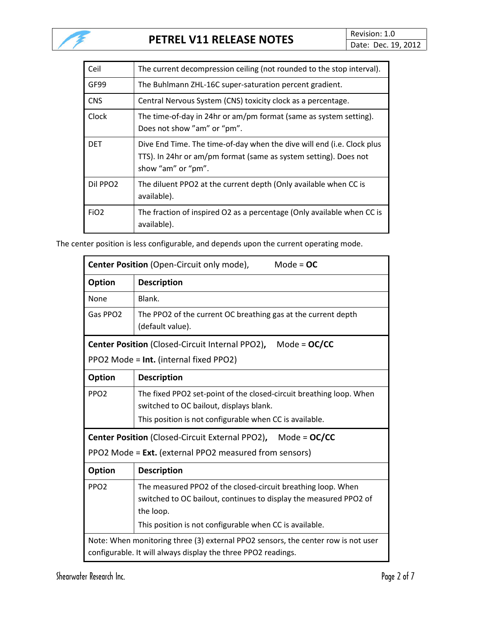

| Ceil                 | The current decompression ceiling (not rounded to the stop interval).                                                                                            |
|----------------------|------------------------------------------------------------------------------------------------------------------------------------------------------------------|
| GF99                 | The Buhlmann ZHL-16C super-saturation percent gradient.                                                                                                          |
| <b>CNS</b>           | Central Nervous System (CNS) toxicity clock as a percentage.                                                                                                     |
| Clock                | The time-of-day in 24hr or am/pm format (same as system setting).<br>Does not show "am" or "pm".                                                                 |
| <b>DET</b>           | Dive End Time. The time-of-day when the dive will end (i.e. Clock plus<br>TTS). In 24hr or am/pm format (same as system setting). Does not<br>show "am" or "pm". |
| Dil PPO <sub>2</sub> | The diluent PPO2 at the current depth (Only available when CC is<br>available).                                                                                  |
| FiO <sub>2</sub>     | The fraction of inspired O2 as a percentage (Only available when CC is<br>available).                                                                            |

The center position is less configurable, and depends upon the current operating mode.

| Center Position (Open-Circuit only mode),<br>Mode = $OC$                                                                                           |                                                                                                                                                                                                           |  |
|----------------------------------------------------------------------------------------------------------------------------------------------------|-----------------------------------------------------------------------------------------------------------------------------------------------------------------------------------------------------------|--|
| <b>Option</b>                                                                                                                                      | <b>Description</b>                                                                                                                                                                                        |  |
| None                                                                                                                                               | Blank.                                                                                                                                                                                                    |  |
| Gas PPO2                                                                                                                                           | The PPO2 of the current OC breathing gas at the current depth<br>(default value).                                                                                                                         |  |
| Center Position (Closed-Circuit Internal PPO2),<br>Mode = $OC/CC$                                                                                  |                                                                                                                                                                                                           |  |
| PPO2 Mode = Int. (internal fixed PPO2)                                                                                                             |                                                                                                                                                                                                           |  |
| <b>Option</b>                                                                                                                                      | <b>Description</b>                                                                                                                                                                                        |  |
| PPO <sub>2</sub>                                                                                                                                   | The fixed PPO2 set-point of the closed-circuit breathing loop. When<br>switched to OC bailout, displays blank.                                                                                            |  |
|                                                                                                                                                    | This position is not configurable when CC is available.                                                                                                                                                   |  |
| <b>Center Position</b> (Closed-Circuit External PPO2), Mode = OC/CC                                                                                |                                                                                                                                                                                                           |  |
| PPO2 Mode = Ext. (external PPO2 measured from sensors)                                                                                             |                                                                                                                                                                                                           |  |
| Option                                                                                                                                             | <b>Description</b>                                                                                                                                                                                        |  |
| PPO <sub>2</sub>                                                                                                                                   | The measured PPO2 of the closed-circuit breathing loop. When<br>switched to OC bailout, continues to display the measured PPO2 of<br>the loop.<br>This position is not configurable when CC is available. |  |
| Note: When monitoring three (3) external PPO2 sensors, the center row is not user<br>configurable. It will always display the three PPO2 readings. |                                                                                                                                                                                                           |  |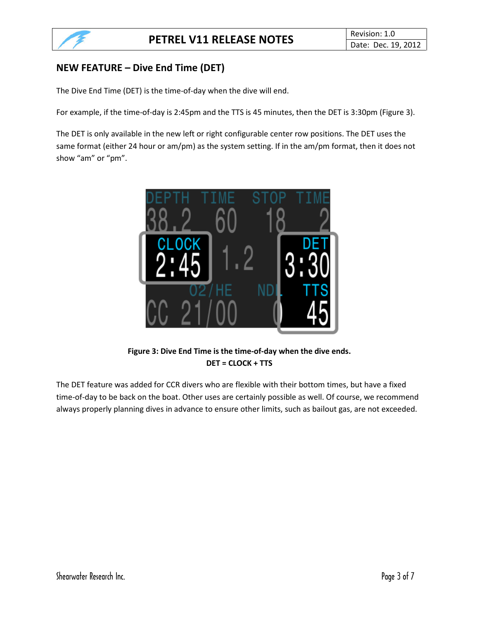# NEW FEATURE – Dive End Time (DET)

The Dive End Time (DET) is the time-of-day when the dive will end.

For example, if the time-of-day is 2:45pm and the TTS is 45 minutes, then the DET is 3:30pm (Figure 3).

The DET is only available in the new left or right configurable center row positions. The DET uses the same format (either 24 hour or am/pm) as the system setting. If in the am/pm format, then it does not show "am" or "pm".



Figure 3: Dive End Time is the time-of-day when the dive ends. DET = CLOCK + TTS

The DET feature was added for CCR divers who are flexible with their bottom times, but have a fixed time-of-day to be back on the boat. Other uses are certainly possible as well. Of course, we recommend always properly planning dives in advance to ensure other limits, such as bailout gas, are not exceeded.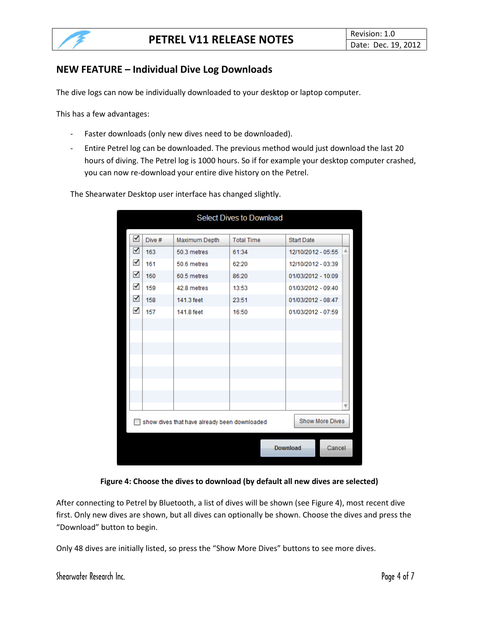# NEW FEATURE – Individual Dive Log Downloads

The dive logs can now be individually downloaded to your desktop or laptop computer.

This has a few advantages:

- Faster downloads (only new dives need to be downloaded).
- Entire Petrel log can be downloaded. The previous method would just download the last 20 hours of diving. The Petrel log is 1000 hours. So if for example your desktop computer crashed, you can now re-download your entire dive history on the Petrel.

**Select Dives to Download** ⊻ Dive # Maximum Depth **Total Time** Start Date  $\blacktriangleright$ 163 50.3 metres 61:34 12/10/2012 - 05:55  $\checkmark$ 161 50.6 metres 62:20 12/10/2012 - 03:39  $\blacktriangleright$ 160 60.5 metres 86:20 01/03/2012 - 10:09 ✔ 159 42.8 metres 13:53 01/03/2012 - 09:40  $\blacktriangledown$ 158 141.3 feet 23:51 01/03/2012 - 08:47  $\blacktriangledown$ 01/03/2012 - 07:59 157 141.8 feet 16:50 Show dives that have already been downloaded Show More Dives **Download** Cancel

The Shearwater Desktop user interface has changed slightly.

#### Figure 4: Choose the dives to download (by default all new dives are selected)

After connecting to Petrel by Bluetooth, a list of dives will be shown (see Figure 4), most recent dive first. Only new dives are shown, but all dives can optionally be shown. Choose the dives and press the "Download" button to begin.

Only 48 dives are initially listed, so press the "Show More Dives" buttons to see more dives.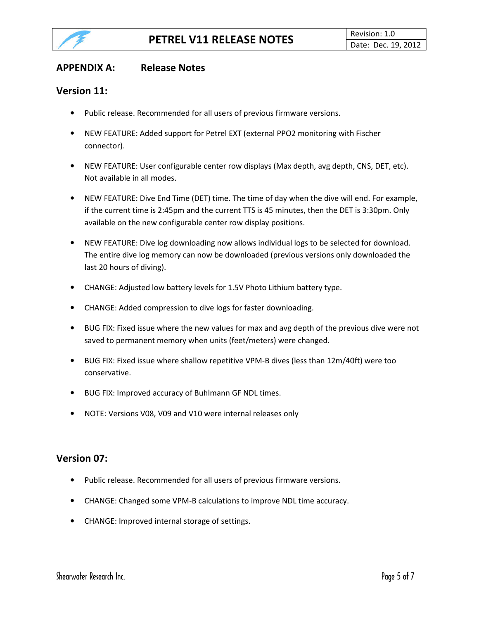

## APPENDIX A: Release Notes

## Version 11:

- Public release. Recommended for all users of previous firmware versions.
- NEW FEATURE: Added support for Petrel EXT (external PPO2 monitoring with Fischer connector).
- NEW FEATURE: User configurable center row displays (Max depth, avg depth, CNS, DET, etc). Not available in all modes.
- NEW FEATURE: Dive End Time (DET) time. The time of day when the dive will end. For example, if the current time is 2:45pm and the current TTS is 45 minutes, then the DET is 3:30pm. Only available on the new configurable center row display positions.
- NEW FEATURE: Dive log downloading now allows individual logs to be selected for download. The entire dive log memory can now be downloaded (previous versions only downloaded the last 20 hours of diving).
- CHANGE: Adjusted low battery levels for 1.5V Photo Lithium battery type.
- CHANGE: Added compression to dive logs for faster downloading.
- BUG FIX: Fixed issue where the new values for max and avg depth of the previous dive were not saved to permanent memory when units (feet/meters) were changed.
- BUG FIX: Fixed issue where shallow repetitive VPM-B dives (less than 12m/40ft) were too conservative.
- BUG FIX: Improved accuracy of Buhlmann GF NDL times.
- NOTE: Versions V08, V09 and V10 were internal releases only

#### Version 07:

- Public release. Recommended for all users of previous firmware versions.
- CHANGE: Changed some VPM-B calculations to improve NDL time accuracy.
- CHANGE: Improved internal storage of settings.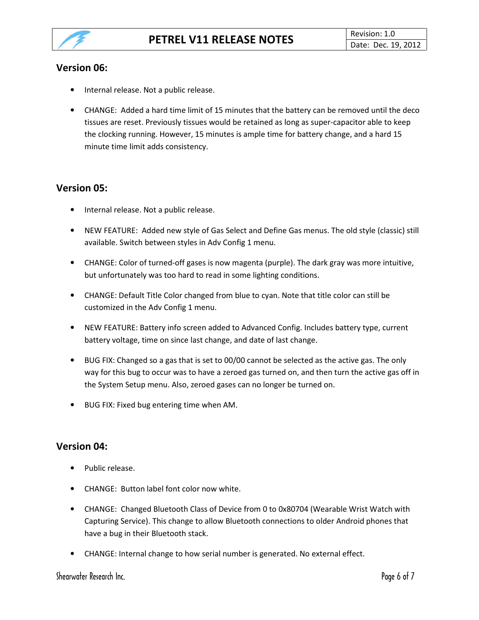

## Version 06:

- Internal release. Not a public release.
- CHANGE: Added a hard time limit of 15 minutes that the battery can be removed until the deco tissues are reset. Previously tissues would be retained as long as super-capacitor able to keep the clocking running. However, 15 minutes is ample time for battery change, and a hard 15 minute time limit adds consistency.

# Version 05:

- Internal release. Not a public release.
- NEW FEATURE: Added new style of Gas Select and Define Gas menus. The old style (classic) still available. Switch between styles in Adv Config 1 menu.
- CHANGE: Color of turned-off gases is now magenta (purple). The dark gray was more intuitive, but unfortunately was too hard to read in some lighting conditions.
- CHANGE: Default Title Color changed from blue to cyan. Note that title color can still be customized in the Adv Config 1 menu.
- NEW FEATURE: Battery info screen added to Advanced Config. Includes battery type, current battery voltage, time on since last change, and date of last change.
- BUG FIX: Changed so a gas that is set to 00/00 cannot be selected as the active gas. The only way for this bug to occur was to have a zeroed gas turned on, and then turn the active gas off in the System Setup menu. Also, zeroed gases can no longer be turned on.
- BUG FIX: Fixed bug entering time when AM.

# Version 04:

- Public release.
- CHANGE: Button label font color now white.
- CHANGE: Changed Bluetooth Class of Device from 0 to 0x80704 (Wearable Wrist Watch with Capturing Service). This change to allow Bluetooth connections to older Android phones that have a bug in their Bluetooth stack.
- CHANGE: Internal change to how serial number is generated. No external effect.